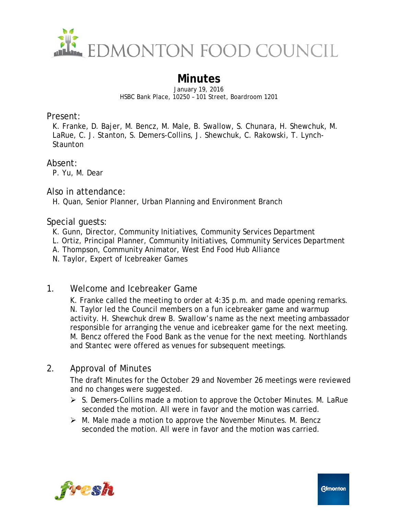

# **Minutes**

January 19, 2016 HSBC Bank Place, 10250 – 101 Street, Boardroom 1201

Present:

K. Franke, D. Bajer, M. Bencz, M. Male, B. Swallow, S. Chunara, H. Shewchuk, M. LaRue, C. J. Stanton, S. Demers-Collins, J. Shewchuk, C. Rakowski, T. Lynch-**Staunton** 

Absent:

P. Yu, M. Dear

Also in attendance:

H. Quan, Senior Planner, Urban Planning and Environment Branch

Special guests:

- K. Gunn, Director, Community Initiatives, Community Services Department
- L. Ortiz, Principal Planner, Community Initiatives, Community Services Department
- A. Thompson, Community Animator, West End Food Hub Alliance
- N. Taylor, Expert of Icebreaker Games
- 1. Welcome and Icebreaker Game

K. Franke called the meeting to order at 4:35 p.m. and made opening remarks. N. Taylor led the Council members on a fun icebreaker game and warmup activity. H. Shewchuk drew B. Swallow's name as the next meeting ambassador responsible for arranging the venue and icebreaker game for the next meeting. M. Bencz offered the Food Bank as the venue for the next meeting. Northlands and Stantec were offered as venues for subsequent meetings.

## 2. Approval of Minutes

The draft Minutes for the October 29 and November 26 meetings were reviewed and no changes were suggested.

- $\triangleright$  S. Demers-Collins made a motion to approve the October Minutes. M. LaRue seconded the motion. All were in favor and the motion was carried.
- $\triangleright$  M. Male made a motion to approve the November Minutes. M. Bencz seconded the motion. All were in favor and the motion was carried.

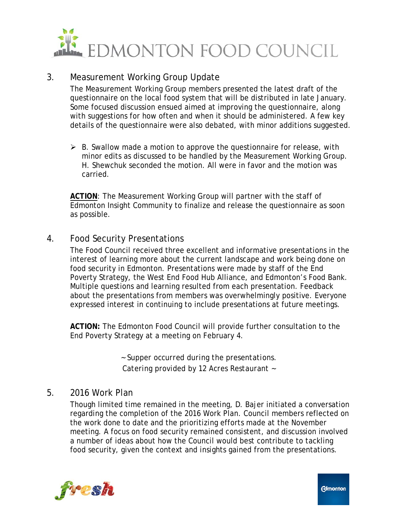

### 3. Measurement Working Group Update

The Measurement Working Group members presented the latest draft of the questionnaire on the local food system that will be distributed in late January. Some focused discussion ensued aimed at improving the questionnaire, along with suggestions for how often and when it should be administered. A few key details of the questionnaire were also debated, with minor additions suggested.

 $\triangleright$  B. Swallow made a motion to approve the questionnaire for release, with minor edits as discussed to be handled by the Measurement Working Group. H. Shewchuk seconded the motion. All were in favor and the motion was carried.

**ACTION**: The Measurement Working Group will partner with the staff of Edmonton Insight Community to finalize and release the questionnaire as soon as possible.

### 4. Food Security Presentations

The Food Council received three excellent and informative presentations in the interest of learning more about the current landscape and work being done on food security in Edmonton. Presentations were made by staff of the End Poverty Strategy, the West End Food Hub Alliance, and Edmonton's Food Bank. Multiple questions and learning resulted from each presentation. Feedback about the presentations from members was overwhelmingly positive. Everyone expressed interest in continuing to include presentations at future meetings.

**ACTION:** The Edmonton Food Council will provide further consultation to the End Poverty Strategy at a meeting on February 4.

> *~ Supper occurred during the presentations. Catering provided by 12 Acres Restaurant ~*

#### 5. 2016 Work Plan

Though limited time remained in the meeting, D. Bajer initiated a conversation regarding the completion of the 2016 Work Plan. Council members reflected on the work done to date and the prioritizing efforts made at the November meeting. A focus on food security remained consistent, and discussion involved a number of ideas about how the Council would best contribute to tackling food security, given the context and insights gained from the presentations.